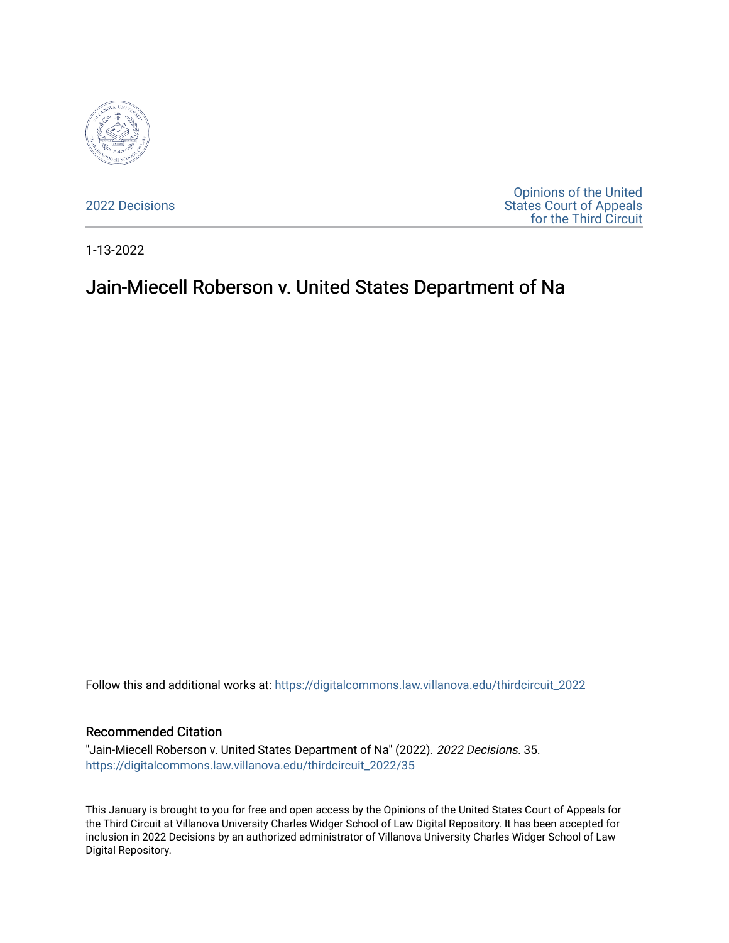

[2022 Decisions](https://digitalcommons.law.villanova.edu/thirdcircuit_2022)

[Opinions of the United](https://digitalcommons.law.villanova.edu/thirdcircuit)  [States Court of Appeals](https://digitalcommons.law.villanova.edu/thirdcircuit)  [for the Third Circuit](https://digitalcommons.law.villanova.edu/thirdcircuit) 

1-13-2022

# Jain-Miecell Roberson v. United States Department of Na

Follow this and additional works at: [https://digitalcommons.law.villanova.edu/thirdcircuit\\_2022](https://digitalcommons.law.villanova.edu/thirdcircuit_2022?utm_source=digitalcommons.law.villanova.edu%2Fthirdcircuit_2022%2F35&utm_medium=PDF&utm_campaign=PDFCoverPages) 

### Recommended Citation

"Jain-Miecell Roberson v. United States Department of Na" (2022). 2022 Decisions. 35. [https://digitalcommons.law.villanova.edu/thirdcircuit\\_2022/35](https://digitalcommons.law.villanova.edu/thirdcircuit_2022/35?utm_source=digitalcommons.law.villanova.edu%2Fthirdcircuit_2022%2F35&utm_medium=PDF&utm_campaign=PDFCoverPages)

This January is brought to you for free and open access by the Opinions of the United States Court of Appeals for the Third Circuit at Villanova University Charles Widger School of Law Digital Repository. It has been accepted for inclusion in 2022 Decisions by an authorized administrator of Villanova University Charles Widger School of Law Digital Repository.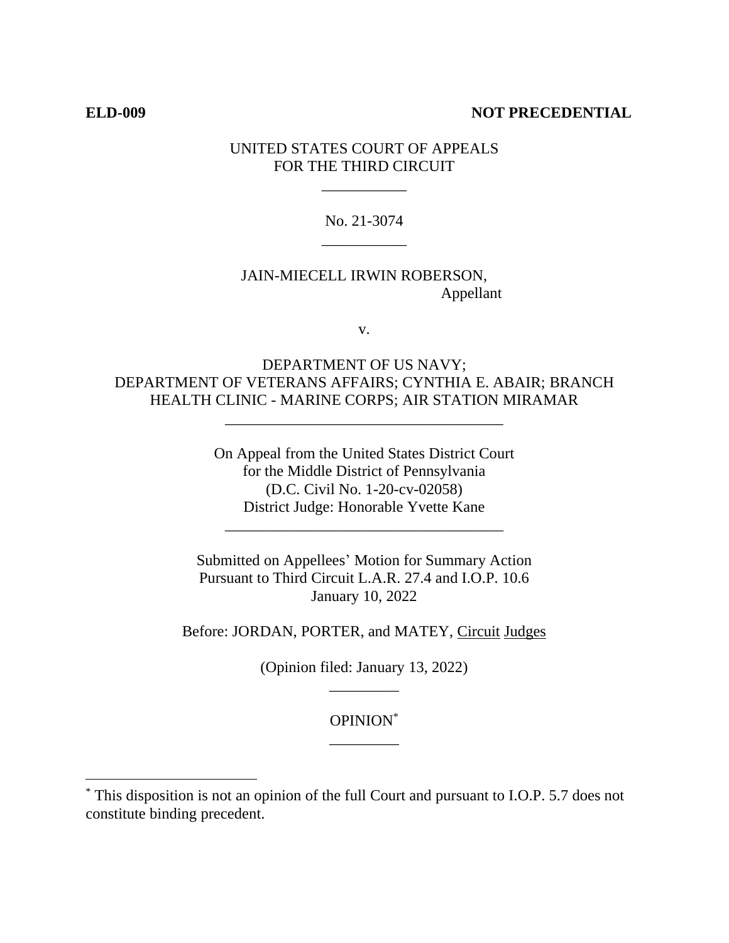### **ELD-009 NOT PRECEDENTIAL**

## UNITED STATES COURT OF APPEALS FOR THE THIRD CIRCUIT

\_\_\_\_\_\_\_\_\_\_\_

No. 21-3074 \_\_\_\_\_\_\_\_\_\_\_

JAIN-MIECELL IRWIN ROBERSON, Appellant

v.

DEPARTMENT OF US NAVY; DEPARTMENT OF VETERANS AFFAIRS; CYNTHIA E. ABAIR; BRANCH HEALTH CLINIC - MARINE CORPS; AIR STATION MIRAMAR

\_\_\_\_\_\_\_\_\_\_\_\_\_\_\_\_\_\_\_\_\_\_\_\_\_\_\_\_\_\_\_\_\_\_\_\_

On Appeal from the United States District Court for the Middle District of Pennsylvania (D.C. Civil No. 1-20-cv-02058) District Judge: Honorable Yvette Kane

\_\_\_\_\_\_\_\_\_\_\_\_\_\_\_\_\_\_\_\_\_\_\_\_\_\_\_\_\_\_\_\_\_\_\_\_

Submitted on Appellees' Motion for Summary Action Pursuant to Third Circuit L.A.R. 27.4 and I.O.P. 10.6 January 10, 2022

Before: JORDAN, PORTER, and MATEY, Circuit Judges

(Opinion filed: January 13, 2022) \_\_\_\_\_\_\_\_\_

> OPINION\* \_\_\_\_\_\_\_\_\_

<sup>\*</sup> This disposition is not an opinion of the full Court and pursuant to I.O.P. 5.7 does not constitute binding precedent.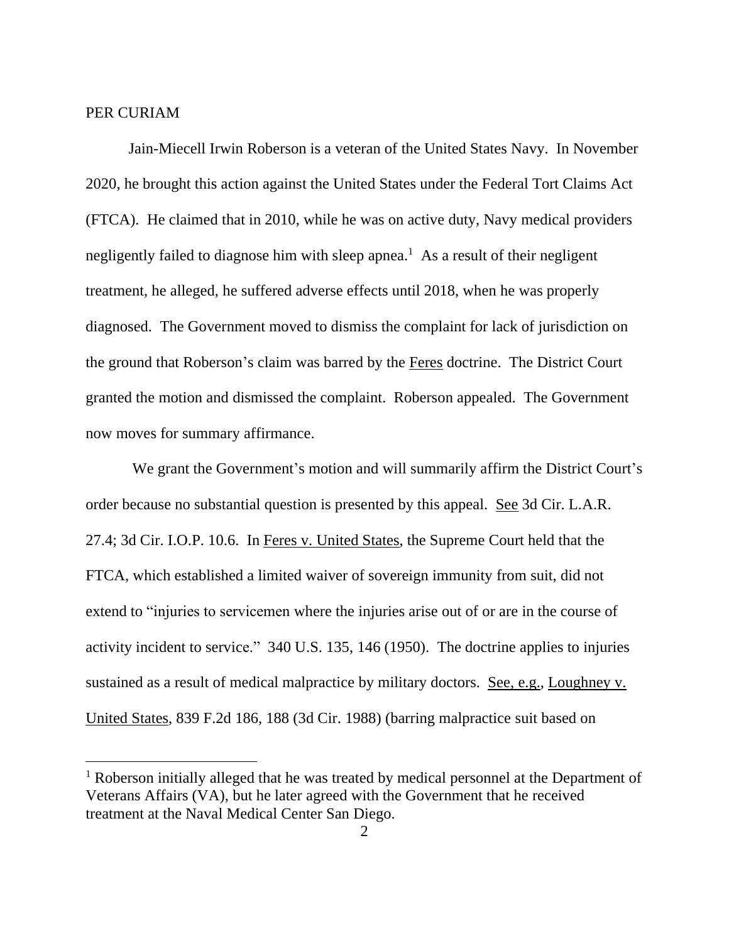## PER CURIAM

Jain-Miecell Irwin Roberson is a veteran of the United States Navy. In November 2020, he brought this action against the United States under the Federal Tort Claims Act (FTCA). He claimed that in 2010, while he was on active duty, Navy medical providers negligently failed to diagnose him with sleep apnea.<sup>1</sup> As a result of their negligent treatment, he alleged, he suffered adverse effects until 2018, when he was properly diagnosed. The Government moved to dismiss the complaint for lack of jurisdiction on the ground that Roberson's claim was barred by the Feres doctrine. The District Court granted the motion and dismissed the complaint. Roberson appealed. The Government now moves for summary affirmance.

We grant the Government's motion and will summarily affirm the District Court's order because no substantial question is presented by this appeal. See 3d Cir. L.A.R. 27.4; 3d Cir. I.O.P. 10.6. In Feres v. United States, the Supreme Court held that the FTCA, which established a limited waiver of sovereign immunity from suit, did not extend to "injuries to servicemen where the injuries arise out of or are in the course of activity incident to service." 340 U.S. 135, 146 (1950). The doctrine applies to injuries sustained as a result of medical malpractice by military doctors. See, e.g., Loughney v. United States, 839 F.2d 186, 188 (3d Cir. 1988) (barring malpractice suit based on

<sup>&</sup>lt;sup>1</sup> Roberson initially alleged that he was treated by medical personnel at the Department of Veterans Affairs (VA), but he later agreed with the Government that he received treatment at the Naval Medical Center San Diego.